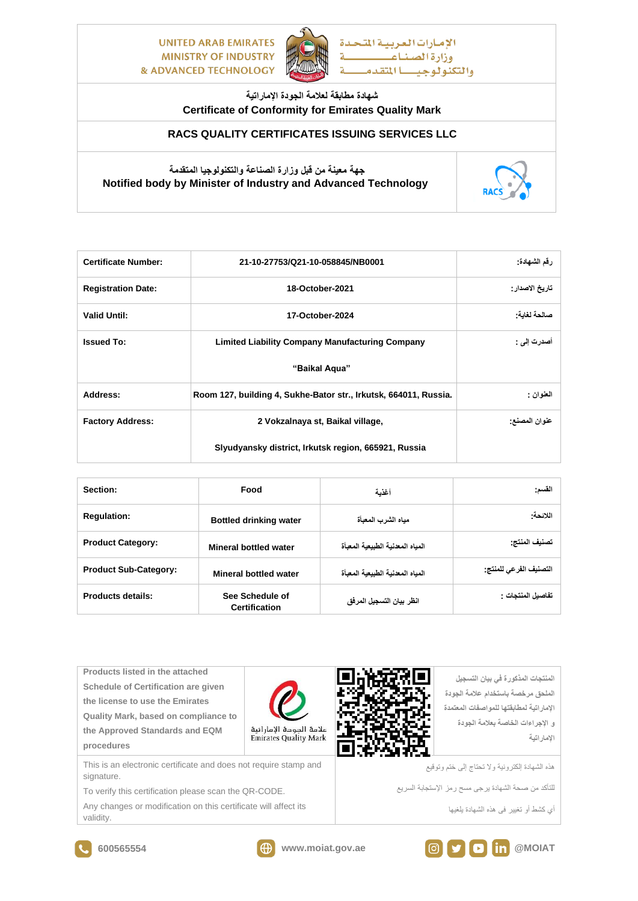**UNITED ARAB EMIRATES MINISTRY OF INDUSTRY & ADVANCED TECHNOLOGY** 



## **شهادة مطابقة لعالمة الجودة اإلماراتية Certificate of Conformity for Emirates Quality Mark**

## **RACS QUALITY CERTIFICATES ISSUING SERVICES LLC**

## **جهة معينة من قبل وزارة الصناعة والتكنولوجيا المتقدمة Notified body by Minister of Industry and Advanced Technology**



| <b>Certificate Number:</b> | 21-10-27753/Q21-10-058845/NB0001                                 | رقم الشهادة:    |
|----------------------------|------------------------------------------------------------------|-----------------|
| <b>Registration Date:</b>  | 18-October-2021                                                  | تاريخ الاصدار : |
| <b>Valid Until:</b>        | 17-October-2024                                                  | صالحة لغاية:    |
| <b>Issued To:</b>          | <b>Limited Liability Company Manufacturing Company</b>           | أصدرت إلى :     |
|                            | "Baikal Agua"                                                    |                 |
| Address:                   | Room 127, building 4, Sukhe-Bator str., Irkutsk, 664011, Russia. | العنوان :       |
| <b>Factory Address:</b>    | 2 Vokzalnaya st, Baikal village,                                 | عنوان المصنع:   |
|                            | Slyudyansky district, Irkutsk region, 665921, Russia             |                 |

| Section:                     | Food                                                      | أغذية                            | القسم:                         |
|------------------------------|-----------------------------------------------------------|----------------------------------|--------------------------------|
| <b>Regulation:</b>           | <b>Bottled drinking water</b>                             | مباه الشرب المعبأة               | اللائحة:                       |
| <b>Product Category:</b>     | Mineral bottled water                                     | المباه المعذنية الطبيعية المعبأة | تصنيف المنتج:                  |
| <b>Product Sub-Category:</b> | المباه المعذنية الطبيعية المعبأة<br>Mineral bottled water |                                  | التصنيف الفر <i>عى</i> للمنتج· |
| Products details:            | See Schedule of<br><b>Certification</b>                   | انظر بيان التسجيل المرفق         | نفاصبل المنتجات :              |